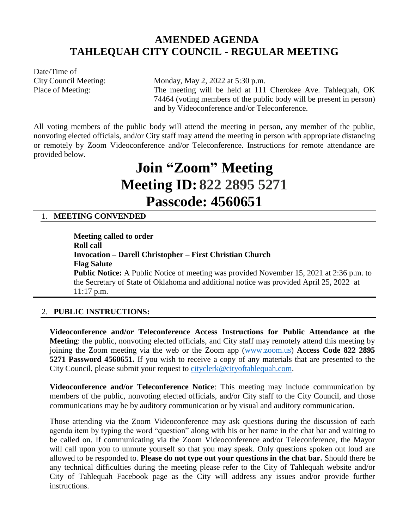# **AMENDED AGENDA TAHLEQUAH CITY COUNCIL - REGULAR MEETING**

Date/Time of

City Council Meeting: Monday, May 2, 2022 at 5:30 p.m. Place of Meeting: The meeting will be held at 111 Cherokee Ave. Tahlequah, OK 74464 (voting members of the public body will be present in person) and by Videoconference and/or Teleconference.

All voting members of the public body will attend the meeting in person, any member of the public, nonvoting elected officials, and/or City staff may attend the meeting in person with appropriate distancing or remotely by Zoom Videoconference and/or Teleconference. Instructions for remote attendance are provided below.

# **Join "Zoom" Meeting Meeting ID: 822 2895 5271 Passcode: 4560651**

# 1. **MEETING CONVENDED**

**Meeting called to order Roll call Invocation – Darell Christopher – First Christian Church Flag Salute Public Notice:** A Public Notice of meeting was provided November 15, 2021 at 2:36 p.m. to the Secretary of State of Oklahoma and additional notice was provided April 25, 2022 at 11:17 p.m.

## 2. **PUBLIC INSTRUCTIONS:**

**Videoconference and/or Teleconference Access Instructions for Public Attendance at the Meeting**: the public, nonvoting elected officials, and City staff may remotely attend this meeting by joining the Zoom meeting via the web or the Zoom app [\(www.zoom.us\)](http://www.zoom.us/) **Access Code 822 2895 5271 Password 4560651.** If you wish to receive a copy of any materials that are presented to the City Council, please submit your request to [cityclerk@cityoftahlequah.com.](mailto:cityclerk@cityoftahlequah.com)

**Videoconference and/or Teleconference Notice**: This meeting may include communication by members of the public, nonvoting elected officials, and/or City staff to the City Council, and those communications may be by auditory communication or by visual and auditory communication.

Those attending via the Zoom Videoconference may ask questions during the discussion of each agenda item by typing the word "question" along with his or her name in the chat bar and waiting to be called on. If communicating via the Zoom Videoconference and/or Teleconference, the Mayor will call upon you to unmute yourself so that you may speak. Only questions spoken out loud are allowed to be responded to. **Please do not type out your questions in the chat bar.** Should there be any technical difficulties during the meeting please refer to the City of Tahlequah website and/or City of Tahlequah Facebook page as the City will address any issues and/or provide further instructions.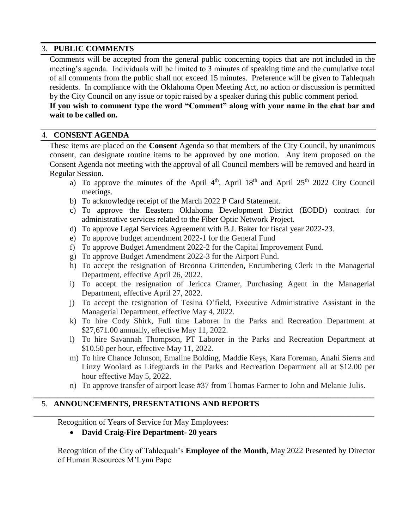#### 3. **PUBLIC COMMENTS**

Comments will be accepted from the general public concerning topics that are not included in the meeting's agenda. Individuals will be limited to 3 minutes of speaking time and the cumulative total of all comments from the public shall not exceed 15 minutes. Preference will be given to Tahlequah residents. In compliance with the Oklahoma Open Meeting Act, no action or discussion is permitted by the City Council on any issue or topic raised by a speaker during this public comment period.

**If you wish to comment type the word "Comment" along with your name in the chat bar and wait to be called on.**

#### 4. **CONSENT AGENDA**

These items are placed on the **Consent** Agenda so that members of the City Council, by unanimous consent, can designate routine items to be approved by one motion. Any item proposed on the Consent Agenda not meeting with the approval of all Council members will be removed and heard in Regular Session.

- a) To approve the minutes of the April  $4<sup>th</sup>$ , April  $18<sup>th</sup>$  and April  $25<sup>th</sup>$  2022 City Council meetings.
- b) To acknowledge receipt of the March 2022 P Card Statement.
- c) To approve the Eeastern Oklahoma Development District (EODD) contract for administrative services related to the Fiber Optic Network Project.
- d) To approve Legal Services Agreement with B.J. Baker for fiscal year 2022-23.
- e) To approve budget amendment 2022-1 for the General Fund
- f) To approve Budget Amendment 2022-2 for the Capital Improvement Fund.
- g) To approve Budget Amendment 2022-3 for the Airport Fund.
- h) To accept the resignation of Breonna Crittenden, Encumbering Clerk in the Managerial Department, effective April 26, 2022.
- i) To accept the resignation of Jericca Cramer, Purchasing Agent in the Managerial Department, effective April 27, 2022.
- j) To accept the resignation of Tesina O'field, Executive Administrative Assistant in the Managerial Department, effective May 4, 2022.
- k) To hire Cody Shirk, Full time Laborer in the Parks and Recreation Department at \$27,671.00 annually, effective May 11, 2022.
- l) To hire Savannah Thompson, PT Laborer in the Parks and Recreation Department at \$10.50 per hour, effective May 11, 2022.
- m) To hire Chance Johnson, Emaline Bolding, Maddie Keys, Kara Foreman, Anahi Sierra and Linzy Woolard as Lifeguards in the Parks and Recreation Department all at \$12.00 per hour effective May 5, 2022.
- n) To approve transfer of airport lease #37 from Thomas Farmer to John and Melanie Julis.

**\_\_\_\_\_\_\_\_\_\_\_\_\_\_\_\_\_\_\_\_\_\_\_\_\_\_\_\_\_\_\_\_\_\_\_\_\_\_\_\_\_\_\_\_\_\_\_\_\_\_\_\_\_\_\_\_\_\_\_\_\_\_\_\_\_\_\_\_\_\_\_\_\_\_\_\_\_\_\_\_\_\_\_\_\_**

\_\_\_\_\_\_\_\_\_\_\_\_\_\_\_\_\_\_\_\_\_\_\_\_\_\_\_\_\_\_\_\_\_\_\_\_\_\_\_\_\_\_\_\_\_\_\_\_\_\_\_\_\_\_\_\_\_\_\_\_\_\_\_\_\_\_\_\_\_\_\_\_\_\_\_\_\_\_\_\_\_\_\_\_\_

## 5. **ANNOUNCEMENTS, PRESENTATIONS AND REPORTS**

Recognition of Years of Service for May Employees:

#### **David Craig-Fire Department- 20 years**

Recognition of the City of Tahlequah's **Employee of the Month**, May 2022 Presented by Director of Human Resources M'Lynn Pape